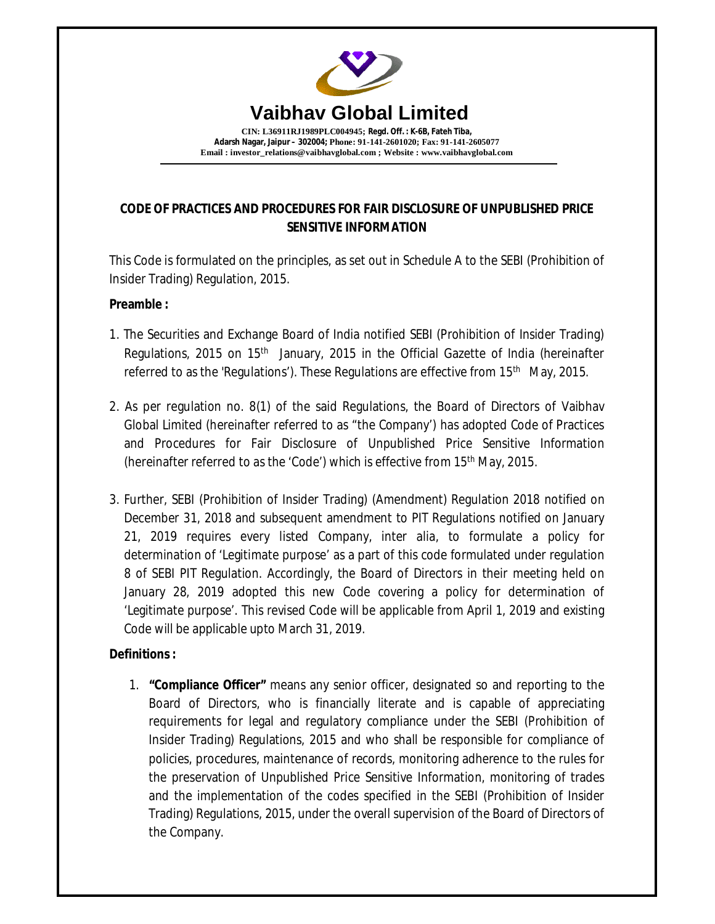

# **CODE OF PRACTICES AND PROCEDURES FOR FAIR DISCLOSURE OF UNPUBLISHED PRICE SENSITIVE INFORMATION**

This Code is formulated on the principles, as set out in Schedule A to the SEBI (Prohibition of Insider Trading) Regulation, 2015.

### **Preamble :**

- 1. The Securities and Exchange Board of India notified SEBI (Prohibition of Insider Trading) Regulations, 2015 on 15<sup>th</sup> January, 2015 in the Official Gazette of India (hereinafter referred to as the 'Regulations'). These Regulations are effective from 15<sup>th</sup> May, 2015.
- 2. As per regulation no. 8(1) of the said Regulations, the Board of Directors of Vaibhav Global Limited (hereinafter referred to as "the Company') has adopted Code of Practices and Procedures for Fair Disclosure of Unpublished Price Sensitive Information (hereinafter referred to as the 'Code') which is effective from 15th May, 2015.
- 3. Further, SEBI (Prohibition of Insider Trading) (Amendment) Regulation 2018 notified on December 31, 2018 and subsequent amendment to PIT Regulations notified on January 21, 2019 requires every listed Company, inter alia, to formulate a policy for determination of 'Legitimate purpose' as a part of this code formulated under regulation 8 of SEBI PIT Regulation. Accordingly, the Board of Directors in their meeting held on January 28, 2019 adopted this new Code covering a policy for determination of 'Legitimate purpose'. This revised Code will be applicable from April 1, 2019 and existing Code will be applicable upto March 31, 2019.

# **Definitions :**

1. **"Compliance Officer"** means any senior officer, designated so and reporting to the Board of Directors, who is financially literate and is capable of appreciating requirements for legal and regulatory compliance under the SEBI (Prohibition of Insider Trading) Regulations, 2015 and who shall be responsible for compliance of policies, procedures, maintenance of records, monitoring adherence to the rules for the preservation of Unpublished Price Sensitive Information, monitoring of trades and the implementation of the codes specified in the SEBI (Prohibition of Insider Trading) Regulations, 2015, under the overall supervision of the Board of Directors of the Company.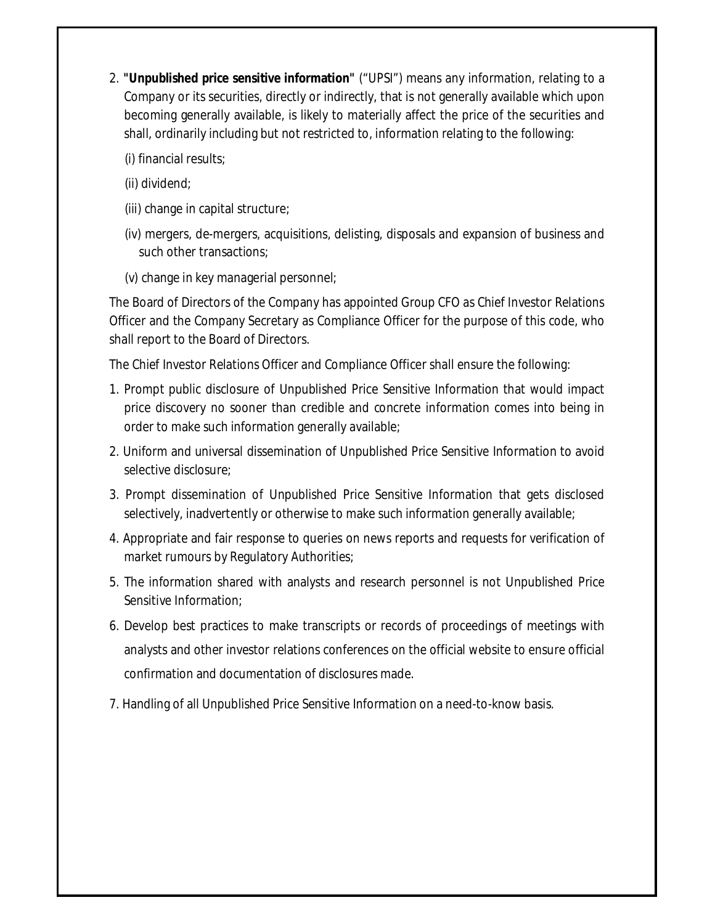- 2. **"Unpublished price sensitive information"** ("UPSI") means any information, relating to a Company or its securities, directly or indirectly, that is not generally available which upon becoming generally available, is likely to materially affect the price of the securities and shall, ordinarily including but not restricted to, information relating to the following:
	- (i) financial results;
	- (ii) dividend;
	- (iii) change in capital structure;
	- (iv) mergers, de-mergers, acquisitions, delisting, disposals and expansion of business and such other transactions;
	- (v) change in key managerial personnel;

The Board of Directors of the Company has appointed Group CFO as Chief Investor Relations Officer and the Company Secretary as Compliance Officer for the purpose of this code, who shall report to the Board of Directors.

The Chief Investor Relations Officer and Compliance Officer shall ensure the following:

- 1. Prompt public disclosure of Unpublished Price Sensitive Information that would impact price discovery no sooner than credible and concrete information comes into being in order to make such information generally available;
- 2. Uniform and universal dissemination of Unpublished Price Sensitive Information to avoid selective disclosure;
- 3. Prompt dissemination of Unpublished Price Sensitive Information that gets disclosed selectively, inadvertently or otherwise to make such information generally available;
- 4. Appropriate and fair response to queries on news reports and requests for verification of market rumours by Regulatory Authorities;
- 5. The information shared with analysts and research personnel is not Unpublished Price Sensitive Information;
- 6. Develop best practices to make transcripts or records of proceedings of meetings with analysts and other investor relations conferences on the official website to ensure official confirmation and documentation of disclosures made.
- 7. Handling of all Unpublished Price Sensitive Information on a need-to-know basis.